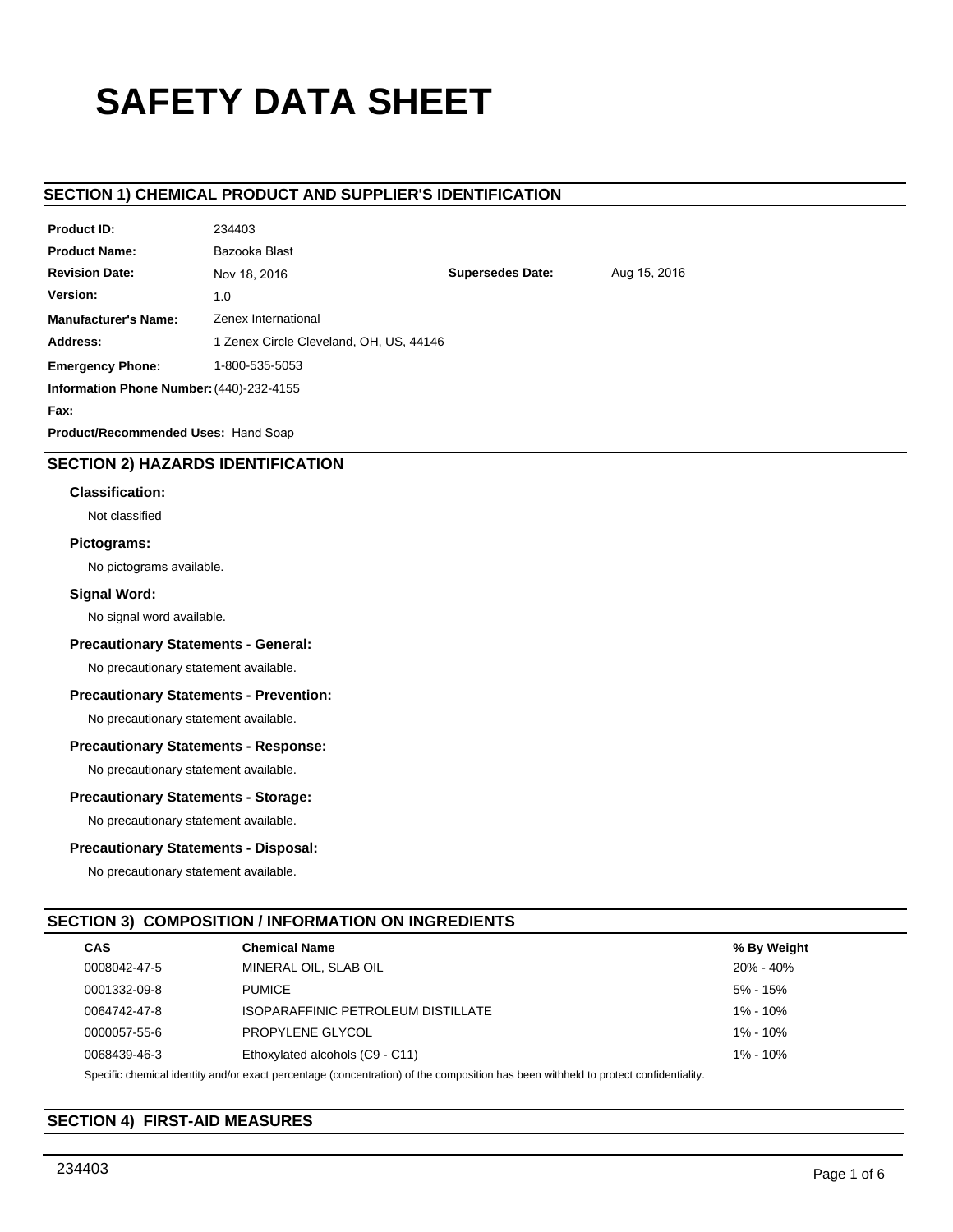# **SAFETY DATA SHEET**

# **SECTION 1) CHEMICAL PRODUCT AND SUPPLIER'S IDENTIFICATION**

234 *235* 

| <b>Product ID:</b>                       | 234403                                  |                         |              |
|------------------------------------------|-----------------------------------------|-------------------------|--------------|
| <b>Product Name:</b>                     | Bazooka Blast                           |                         |              |
| <b>Revision Date:</b>                    | Nov 18, 2016                            | <b>Supersedes Date:</b> | Aug 15, 2016 |
| Version:                                 | 1.0                                     |                         |              |
| <b>Manufacturer's Name:</b>              | Zenex International                     |                         |              |
| Address:                                 | 1 Zenex Circle Cleveland, OH, US, 44146 |                         |              |
| <b>Emergency Phone:</b>                  | 1-800-535-5053                          |                         |              |
| Information Phone Number: (440)-232-4155 |                                         |                         |              |
| Fax:                                     |                                         |                         |              |
| _ _ _<br>.                               |                                         |                         |              |

**Product/Recommended Uses:** Hand Soap

# **SECTION 2) HAZARDS IDENTIFICATION**

#### **Classification:**

Not classified

# **Pictograms:**

No pictograms available.

# **Signal Word:**

No signal word available.

#### **Precautionary Statements - General:**

No precautionary statement available.

# **Precautionary Statements - Prevention:**

No precautionary statement available.

#### **Precautionary Statements - Response:**

No precautionary statement available.

#### **Precautionary Statements - Storage:**

No precautionary statement available.

# **Precautionary Statements - Disposal:**

No precautionary statement available.

# **SECTION 3) COMPOSITION / INFORMATION ON INGREDIENTS**

| <b>CAS</b>   | <b>Chemical Name</b>                                                                                                                                                                                                           | % By Weight  |
|--------------|--------------------------------------------------------------------------------------------------------------------------------------------------------------------------------------------------------------------------------|--------------|
| 0008042-47-5 | MINERAL OIL, SLAB OIL                                                                                                                                                                                                          | 20% - 40%    |
| 0001332-09-8 | <b>PUMICE</b>                                                                                                                                                                                                                  | 5% - 15%     |
| 0064742-47-8 | ISOPARAFFINIC PETROLEUM DISTILLATE                                                                                                                                                                                             | 1% - 10%     |
| 0000057-55-6 | PROPYLENE GLYCOL                                                                                                                                                                                                               | $1\% - 10\%$ |
| 0068439-46-3 | Ethoxylated alcohols (C9 - C11)                                                                                                                                                                                                | $1\% - 10\%$ |
|              | Out official control bloods, and the correct a correction of concentration of the commodition has have contributed to a control of the set of the set of the set of the control of the control of the control of the control o |              |

Specific chemical identity and/or exact percentage (concentration) of the composition has been withheld to protect confidentiality.

# **SECTION 4) FIRST-AID MEASURES**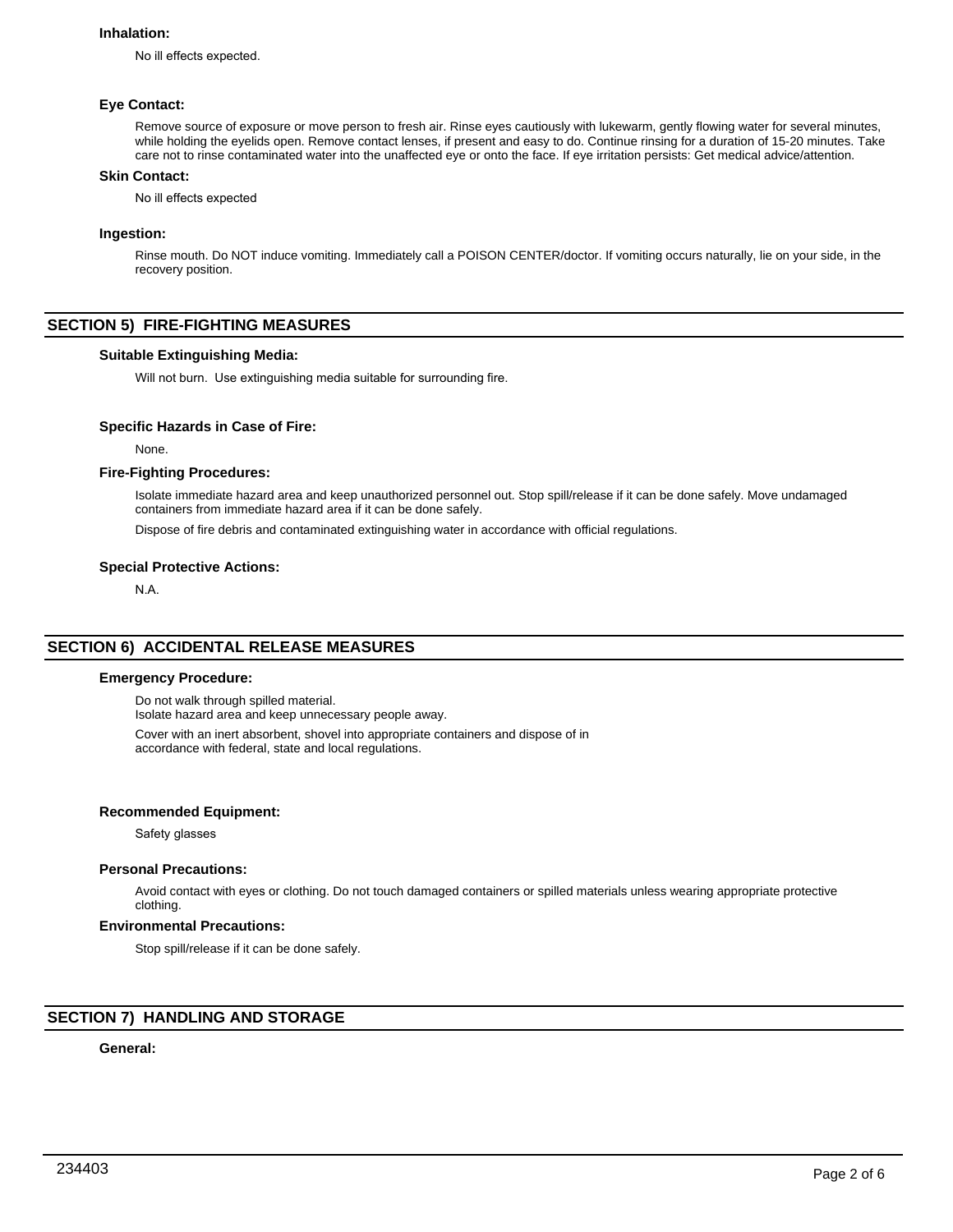#### **Inhalation:**

No ill effects expected.

#### **Eye Contact:**

Remove source of exposure or move person to fresh air. Rinse eyes cautiously with lukewarm, gently flowing water for several minutes, while holding the eyelids open. Remove contact lenses, if present and easy to do. Continue rinsing for a duration of 15-20 minutes. Take care not to rinse contaminated water into the unaffected eye or onto the face. If eye irritation persists: Get medical advice/attention.

#### **Skin Contact:**

No ill effects expected

#### **Ingestion:**

Rinse mouth. Do NOT induce vomiting. Immediately call a POISON CENTER/doctor. If vomiting occurs naturally, lie on your side, in the recovery position.

# **SECTION 5) FIRE-FIGHTING MEASURES**

#### **Suitable Extinguishing Media:**

Will not burn. Use extinguishing media suitable for surrounding fire.

#### **Specific Hazards in Case of Fire:**

None.

#### **Fire-Fighting Procedures:**

Isolate immediate hazard area and keep unauthorized personnel out. Stop spill/release if it can be done safely. Move undamaged containers from immediate hazard area if it can be done safely.

Dispose of fire debris and contaminated extinguishing water in accordance with official regulations.

## **Special Protective Actions:**

N.A.

# **SECTION 6) ACCIDENTAL RELEASE MEASURES**

#### **Emergency Procedure:**

Do not walk through spilled material.

Isolate hazard area and keep unnecessary people away.

Cover with an inert absorbent, shovel into appropriate containers and dispose of in accordance with federal, state and local regulations.

#### **Recommended Equipment:**

Safety glasses

#### **Personal Precautions:**

Avoid contact with eyes or clothing. Do not touch damaged containers or spilled materials unless wearing appropriate protective clothing.

#### **Environmental Precautions:**

Stop spill/release if it can be done safely.

# **SECTION 7) HANDLING AND STORAGE**

# **General:**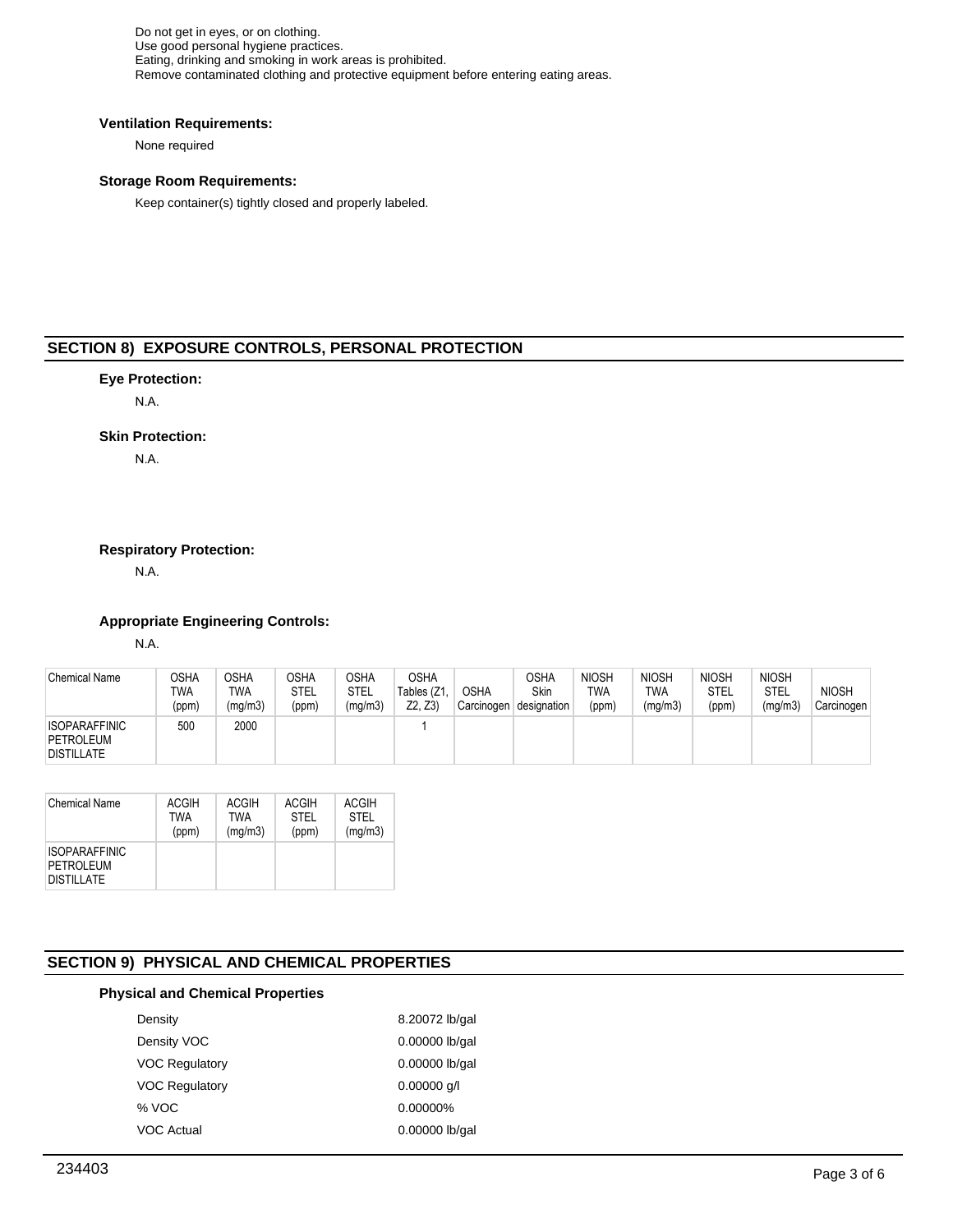Do not get in eyes, or on clothing. Use good personal hygiene practices. Eating, drinking and smoking in work areas is prohibited. Remove contaminated clothing and protective equipment before entering eating areas.

#### **Ventilation Requirements:**

None required

# **Storage Room Requirements:**

Keep container(s) tightly closed and properly labeled.

# **SECTION 8) EXPOSURE CONTROLS, PERSONAL PROTECTION**

# **Eye Protection:**

N.A.

# **Skin Protection:**

N.A.

# **Respiratory Protection:**

N.A.

# **Appropriate Engineering Controls:**

N.A.

| <b>Chemical Name</b>                                   | OSHA<br>TWA<br>(ppm) | <b>OSHA</b><br>TWA<br>(mg/m3) | <b>OSHA</b><br>STEL<br>(ppm) | OSHA<br>STEL<br>(mg/m3) | <b>OSHA</b><br>Tables (Z1,<br>Z2. Z31 | <b>OSHA</b><br>Carcinogen | OSHA<br><b>Skin</b><br>designation | <b>NIOSH</b><br>TWA<br>(ppm) | <b>NIOSH</b><br>TWA<br>(mg/m3) | <b>NIOSH</b><br>STEL<br>(ppm) | <b>NIOSH</b><br>STEL<br>(mg/m3) | <b>NIOSH</b><br>Carcinogen |
|--------------------------------------------------------|----------------------|-------------------------------|------------------------------|-------------------------|---------------------------------------|---------------------------|------------------------------------|------------------------------|--------------------------------|-------------------------------|---------------------------------|----------------------------|
| <b>ISOPARAFFINIC</b><br>PETROLEUM<br><b>DISTILLATE</b> | 500                  | 2000                          |                              |                         |                                       |                           |                                    |                              |                                |                               |                                 |                            |

| <b>Chemical Name</b>                                   | <b>ACGIH</b> | ACGIH      | <b>ACGIH</b> | ACGIH       |
|--------------------------------------------------------|--------------|------------|--------------|-------------|
|                                                        | TWA          | <b>TWA</b> | <b>STEL</b>  | <b>STEL</b> |
|                                                        | (ppm)        | (mg/m3)    | (ppm)        | (mg/m3)     |
| <b>ISOPARAFFINIC</b><br>PETROLEUM<br><b>DISTILLATE</b> |              |            |              |             |

# **SECTION 9) PHYSICAL AND CHEMICAL PROPERTIES**

# **Physical and Chemical Properties**

| Density               | 8.20072 lb/gal |
|-----------------------|----------------|
| Density VOC           | 0.00000 lb/gal |
| <b>VOC Regulatory</b> | 0.00000 lb/gal |
| <b>VOC Regulatory</b> | $0.00000$ q/l  |
| % VOC                 | $0.00000\%$    |
| <b>VOC Actual</b>     | 0.00000 lb/gal |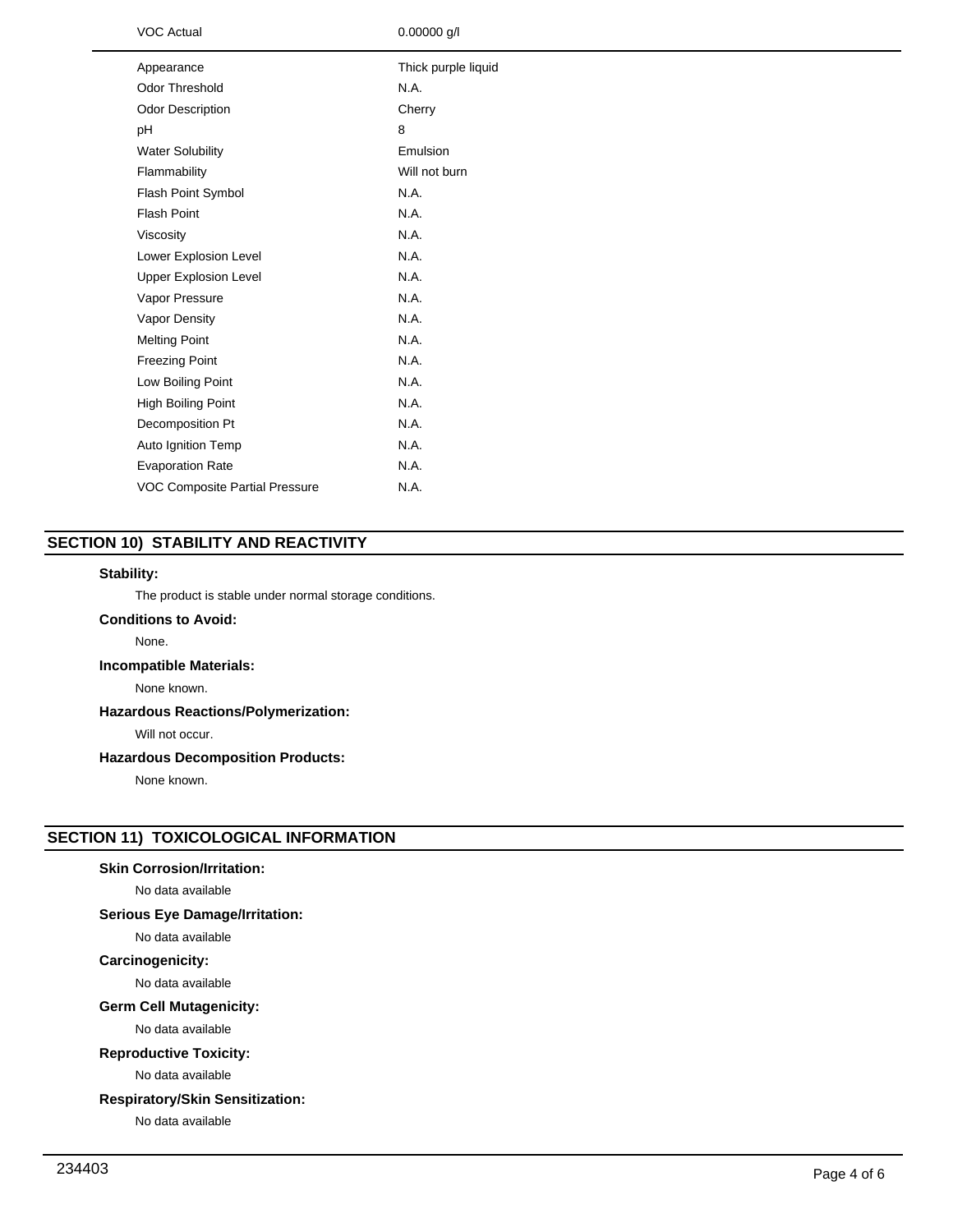| <b>VOC Actual</b>              | $0.00000$ g/l       |
|--------------------------------|---------------------|
| Appearance                     | Thick purple liquid |
| Odor Threshold                 | N.A.                |
| <b>Odor Description</b>        | Cherry              |
| pH                             | 8                   |
| <b>Water Solubility</b>        | Emulsion            |
| Flammability                   | Will not burn       |
| Flash Point Symbol             | N.A.                |
| <b>Flash Point</b>             | N.A.                |
| Viscosity                      | N.A.                |
| Lower Explosion Level          | N.A.                |
| <b>Upper Explosion Level</b>   | N.A.                |
| Vapor Pressure                 | N.A.                |
| Vapor Density                  | N.A.                |
| <b>Melting Point</b>           | N.A.                |
| Freezing Point                 | N.A.                |
| Low Boiling Point              | N.A.                |
| High Boiling Point             | N.A.                |
| Decomposition Pt               | N.A.                |
| Auto Ignition Temp             | N.A.                |
| <b>Evaporation Rate</b>        | N.A.                |
| VOC Composite Partial Pressure | N.A.                |

# **SECTION 10) STABILITY AND REACTIVITY**

# **Stability:**

The product is stable under normal storage conditions.

# **Conditions to Avoid:**

None.

# **Incompatible Materials:**

None known.

# **Hazardous Reactions/Polymerization:**

Will not occur.

# **Hazardous Decomposition Products:**

None known.

# **SECTION 11) TOXICOLOGICAL INFORMATION**

# **Skin Corrosion/Irritation:**

No data available

# **Serious Eye Damage/Irritation:**

No data available

# **Carcinogenicity:**

No data available

#### **Germ Cell Mutagenicity:**

No data available

# **Reproductive Toxicity:**

No data available

# **Respiratory/Skin Sensitization:**

No data available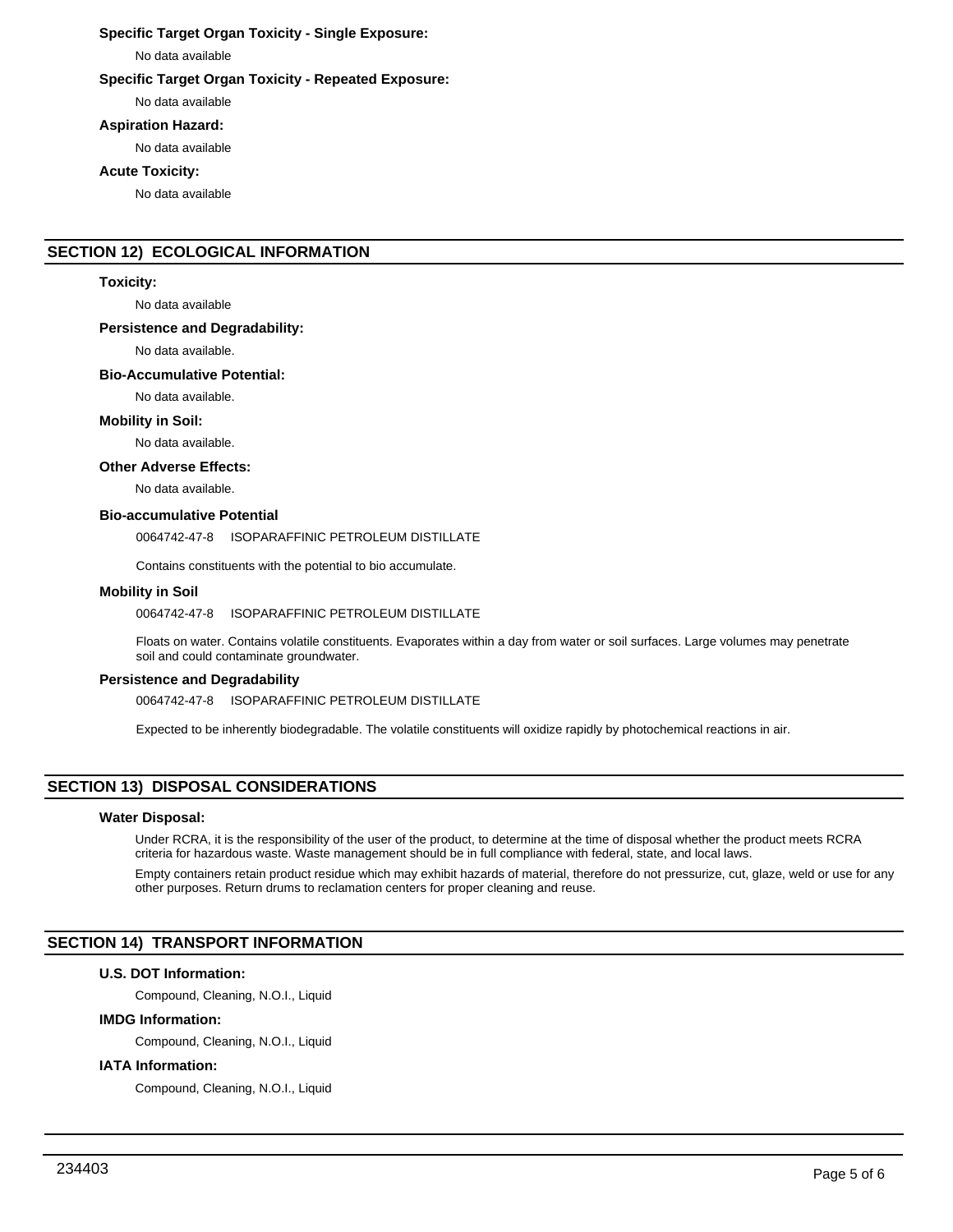# **Specific Target Organ Toxicity - Single Exposure:**

No data available

# **Specific Target Organ Toxicity - Repeated Exposure:**

No data available

#### **Aspiration Hazard:**

No data available

# **Acute Toxicity:**

No data available

# **SECTION 12) ECOLOGICAL INFORMATION**

#### **Toxicity:**

No data available

#### **Persistence and Degradability:**

No data available.

#### **Bio-Accumulative Potential:**

No data available.

#### **Mobility in Soil:**

No data available.

# **Other Adverse Effects:**

No data available.

#### **Bio-accumulative Potential**

0064742-47-8 ISOPARAFFINIC PETROLEUM DISTILLATE

Contains constituents with the potential to bio accumulate.

#### **Mobility in Soil**

0064742-47-8 ISOPARAFFINIC PETROLEUM DISTILLATE

Floats on water. Contains volatile constituents. Evaporates within a day from water or soil surfaces. Large volumes may penetrate soil and could contaminate groundwater.

#### **Persistence and Degradability**

0064742-47-8 ISOPARAFFINIC PETROLEUM DISTILLATE

Expected to be inherently biodegradable. The volatile constituents will oxidize rapidly by photochemical reactions in air.

# **SECTION 13) DISPOSAL CONSIDERATIONS**

## **Water Disposal:**

Under RCRA, it is the responsibility of the user of the product, to determine at the time of disposal whether the product meets RCRA criteria for hazardous waste. Waste management should be in full compliance with federal, state, and local laws.

Empty containers retain product residue which may exhibit hazards of material, therefore do not pressurize, cut, glaze, weld or use for any other purposes. Return drums to reclamation centers for proper cleaning and reuse.

# **SECTION 14) TRANSPORT INFORMATION**

# **U.S. DOT Information:**

Compound, Cleaning, N.O.I., Liquid

# **IMDG Information:**

Compound, Cleaning, N.O.I., Liquid

#### **IATA Information:**

Compound, Cleaning, N.O.I., Liquid